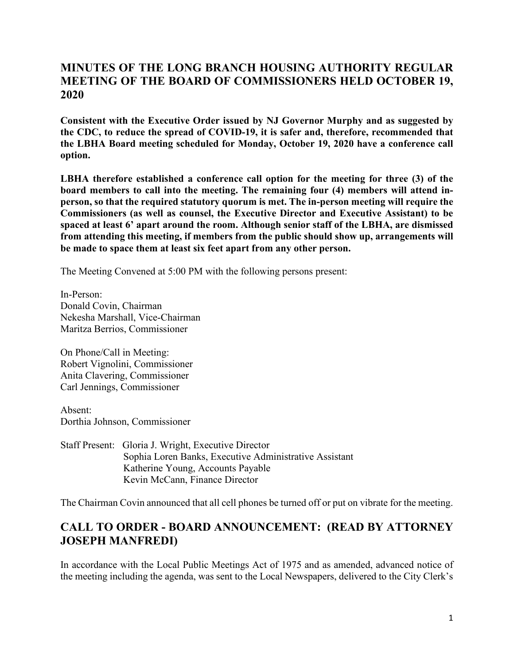### **MINUTES OF THE LONG BRANCH HOUSING AUTHORITY REGULAR MEETING OF THE BOARD OF COMMISSIONERS HELD OCTOBER 19, 2020**

**Consistent with the Executive Order issued by NJ Governor Murphy and as suggested by the CDC, to reduce the spread of COVID-19, it is safer and, therefore, recommended that the LBHA Board meeting scheduled for Monday, October 19, 2020 have a conference call option.**

**LBHA therefore established a conference call option for the meeting for three (3) of the board members to call into the meeting. The remaining four (4) members will attend inperson, so that the required statutory quorum is met. The in-person meeting will require the Commissioners (as well as counsel, the Executive Director and Executive Assistant) to be spaced at least 6' apart around the room. Although senior staff of the LBHA, are dismissed from attending this meeting, if members from the public should show up, arrangements will be made to space them at least six feet apart from any other person.**

The Meeting Convened at 5:00 PM with the following persons present:

In-Person: Donald Covin, Chairman Nekesha Marshall, Vice-Chairman Maritza Berrios, Commissioner

On Phone/Call in Meeting: Robert Vignolini, Commissioner Anita Clavering, Commissioner Carl Jennings, Commissioner

Absent: Dorthia Johnson, Commissioner

Staff Present: Gloria J. Wright, Executive Director Sophia Loren Banks, Executive Administrative Assistant Katherine Young, Accounts Payable Kevin McCann, Finance Director

The Chairman Covin announced that all cell phones be turned off or put on vibrate for the meeting.

# **CALL TO ORDER - BOARD ANNOUNCEMENT: (READ BY ATTORNEY JOSEPH MANFREDI)**

In accordance with the Local Public Meetings Act of 1975 and as amended, advanced notice of the meeting including the agenda, was sent to the Local Newspapers, delivered to the City Clerk's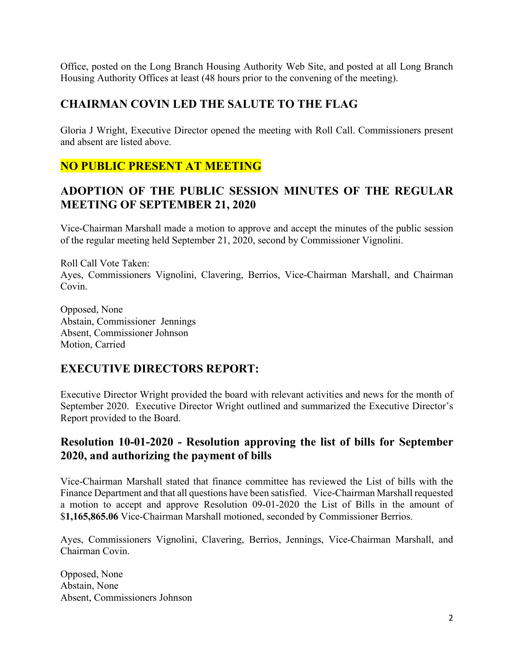Office, posted on the Long Branch Housing Authority Web Site, and posted at all Long Branch Housing Authority Offices at least (48 hours prior to the convening of the meeting).

### **CHAIRMAN COVIN LED THE SALUTE TO THE FLAG**

Gloria J Wright, Executive Director opened the meeting with Roll Call. Commissioners present and absent are listed above.

# **NO PUBLIC PRESENT AT MEETING**

### **ADOPTION OF THE PUBLIC SESSION MINUTES OF THE REGULAR MEETING OF SEPTEMBER 21, 2020**

Vice-Chairman Marshall made a motion to approve and accept the minutes of the public session of the regular meeting held September 21, 2020, second by Commissioner Vignolini.

Roll Call Vote Taken: Ayes, Commissioners Vignolini, Clavering, Berrios, Vice-Chairman Marshall, and Chairman Covin.

Opposed, None Abstain, Commissioner Jennings Absent, Commissioner Johnson Motion, Carried

# **EXECUTIVE DIRECTORS REPORT:**

Executive Director Wright provided the board with relevant activities and news for the month of September 2020. Executive Director Wright outlined and summarized the Executive Director's Report provided to the Board.

### **Resolution 10-01-2020 - Resolution approving the list of bills for September 2020, and authorizing the payment of bills**

Vice-Chairman Marshall stated that finance committee has reviewed the List of bills with the Finance Department and that all questions have been satisfied. Vice-Chairman Marshall requested a motion to accept and approve Resolution 09-01-2020 the List of Bills in the amount of \$**1,165,865.06** Vice-Chairman Marshall motioned, seconded by Commissioner Berrios.

Ayes, Commissioners Vignolini, Clavering, Berrios, Jennings, Vice-Chairman Marshall, and Chairman Covin.

Opposed, None Abstain, None Absent, Commissioners Johnson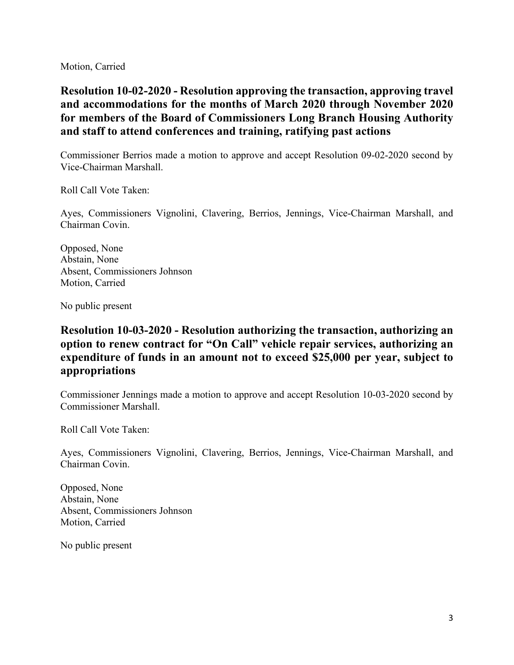Motion, Carried

**Resolution 10-02-2020 - Resolution approving the transaction, approving travel and accommodations for the months of March 2020 through November 2020 for members of the Board of Commissioners Long Branch Housing Authority and staff to attend conferences and training, ratifying past actions**

Commissioner Berrios made a motion to approve and accept Resolution 09-02-2020 second by Vice-Chairman Marshall.

Roll Call Vote Taken:

Ayes, Commissioners Vignolini, Clavering, Berrios, Jennings, Vice-Chairman Marshall, and Chairman Covin.

Opposed, None Abstain, None Absent, Commissioners Johnson Motion, Carried

No public present

## **Resolution 10-03-2020 - Resolution authorizing the transaction, authorizing an option to renew contract for "On Call" vehicle repair services, authorizing an expenditure of funds in an amount not to exceed \$25,000 per year, subject to appropriations**

Commissioner Jennings made a motion to approve and accept Resolution 10-03-2020 second by Commissioner Marshall.

Roll Call Vote Taken:

Ayes, Commissioners Vignolini, Clavering, Berrios, Jennings, Vice-Chairman Marshall, and Chairman Covin.

Opposed, None Abstain, None Absent, Commissioners Johnson Motion, Carried

No public present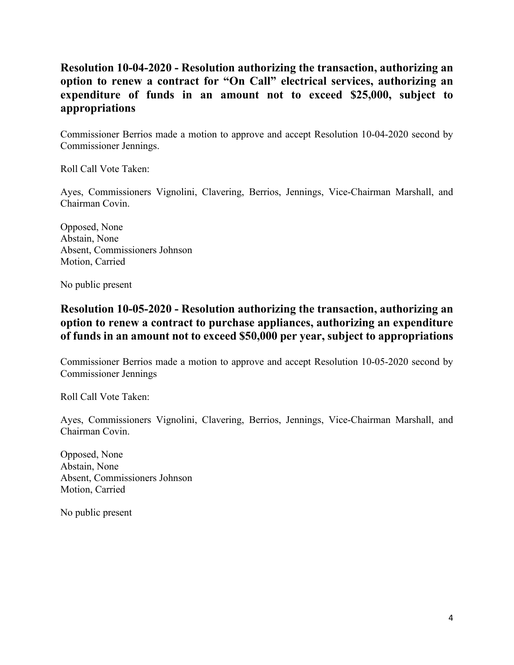# **Resolution 10-04-2020 - Resolution authorizing the transaction, authorizing an option to renew a contract for "On Call" electrical services, authorizing an expenditure of funds in an amount not to exceed \$25,000, subject to appropriations**

Commissioner Berrios made a motion to approve and accept Resolution 10-04-2020 second by Commissioner Jennings.

Roll Call Vote Taken:

Ayes, Commissioners Vignolini, Clavering, Berrios, Jennings, Vice-Chairman Marshall, and Chairman Covin.

Opposed, None Abstain, None Absent, Commissioners Johnson Motion, Carried

No public present

### **Resolution 10-05-2020 - Resolution authorizing the transaction, authorizing an option to renew a contract to purchase appliances, authorizing an expenditure of funds in an amount not to exceed \$50,000 per year, subject to appropriations**

Commissioner Berrios made a motion to approve and accept Resolution 10-05-2020 second by Commissioner Jennings

Roll Call Vote Taken:

Ayes, Commissioners Vignolini, Clavering, Berrios, Jennings, Vice-Chairman Marshall, and Chairman Covin.

Opposed, None Abstain, None Absent, Commissioners Johnson Motion, Carried

No public present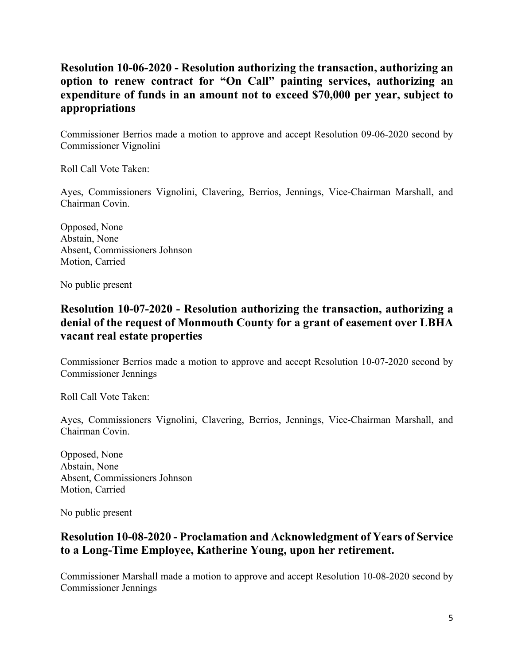# **Resolution 10-06-2020 - Resolution authorizing the transaction, authorizing an option to renew contract for "On Call" painting services, authorizing an expenditure of funds in an amount not to exceed \$70,000 per year, subject to appropriations**

Commissioner Berrios made a motion to approve and accept Resolution 09-06-2020 second by Commissioner Vignolini

Roll Call Vote Taken:

Ayes, Commissioners Vignolini, Clavering, Berrios, Jennings, Vice-Chairman Marshall, and Chairman Covin.

Opposed, None Abstain, None Absent, Commissioners Johnson Motion, Carried

No public present

### **Resolution 10-07-2020 - Resolution authorizing the transaction, authorizing a denial of the request of Monmouth County for a grant of easement over LBHA vacant real estate properties**

Commissioner Berrios made a motion to approve and accept Resolution 10-07-2020 second by Commissioner Jennings

Roll Call Vote Taken:

Ayes, Commissioners Vignolini, Clavering, Berrios, Jennings, Vice-Chairman Marshall, and Chairman Covin.

Opposed, None Abstain, None Absent, Commissioners Johnson Motion, Carried

No public present

### **Resolution 10-08-2020 - Proclamation and Acknowledgment of Years of Service to a Long-Time Employee, Katherine Young, upon her retirement.**

Commissioner Marshall made a motion to approve and accept Resolution 10-08-2020 second by Commissioner Jennings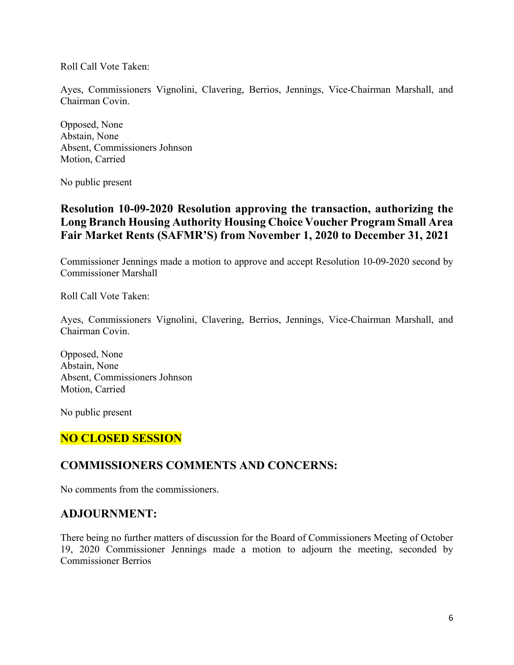Roll Call Vote Taken:

Ayes, Commissioners Vignolini, Clavering, Berrios, Jennings, Vice-Chairman Marshall, and Chairman Covin.

Opposed, None Abstain, None Absent, Commissioners Johnson Motion, Carried

No public present

### **Resolution 10-09-2020 Resolution approving the transaction, authorizing the Long Branch Housing Authority Housing Choice Voucher Program Small Area Fair Market Rents (SAFMR'S) from November 1, 2020 to December 31, 2021**

Commissioner Jennings made a motion to approve and accept Resolution 10-09-2020 second by Commissioner Marshall

Roll Call Vote Taken:

Ayes, Commissioners Vignolini, Clavering, Berrios, Jennings, Vice-Chairman Marshall, and Chairman Covin.

Opposed, None Abstain, None Absent, Commissioners Johnson Motion, Carried

No public present

# **NO CLOSED SESSION**

#### **COMMISSIONERS COMMENTS AND CONCERNS:**

No comments from the commissioners.

#### **ADJOURNMENT:**

There being no further matters of discussion for the Board of Commissioners Meeting of October 19, 2020 Commissioner Jennings made a motion to adjourn the meeting, seconded by Commissioner Berrios